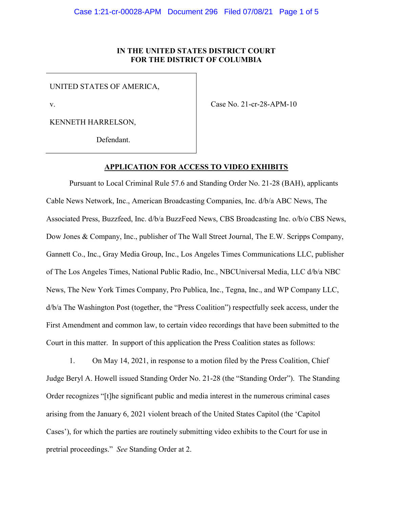# IN THE UNITED STATES DISTRICT COURT FOR THE DISTRICT OF COLUMBIA

UNITED STATES OF AMERICA,

v.

Case No. 21-cr-28-APM-10

KENNETH HARRELSON,

Defendant.

#### APPLICATION FOR ACCESS TO VIDEO EXHIBITS

Pursuant to Local Criminal Rule 57.6 and Standing Order No. 21-28 (BAH), applicants Cable News Network, Inc., American Broadcasting Companies, Inc. d/b/a ABC News, The Associated Press, Buzzfeed, Inc. d/b/a BuzzFeed News, CBS Broadcasting Inc. o/b/o CBS News, Dow Jones & Company, Inc., publisher of The Wall Street Journal, The E.W. Scripps Company, Gannett Co., Inc., Gray Media Group, Inc., Los Angeles Times Communications LLC, publisher of The Los Angeles Times, National Public Radio, Inc., NBCUniversal Media, LLC d/b/a NBC News, The New York Times Company, Pro Publica, Inc., Tegna, Inc., and WP Company LLC, d/b/a The Washington Post (together, the "Press Coalition") respectfully seek access, under the First Amendment and common law, to certain video recordings that have been submitted to the Court in this matter. In support of this application the Press Coalition states as follows:

1. On May 14, 2021, in response to a motion filed by the Press Coalition, Chief Judge Beryl A. Howell issued Standing Order No. 21-28 (the "Standing Order"). The Standing Order recognizes "[t]he significant public and media interest in the numerous criminal cases arising from the January 6, 2021 violent breach of the United States Capitol (the 'Capitol Cases'), for which the parties are routinely submitting video exhibits to the Court for use in pretrial proceedings." See Standing Order at 2.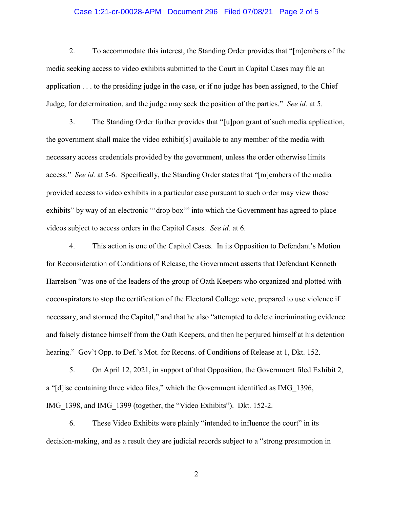### Case 1:21-cr-00028-APM Document 296 Filed 07/08/21 Page 2 of 5

2. To accommodate this interest, the Standing Order provides that "[m]embers of the media seeking access to video exhibits submitted to the Court in Capitol Cases may file an application . . . to the presiding judge in the case, or if no judge has been assigned, to the Chief Judge, for determination, and the judge may seek the position of the parties." See id. at 5.

3. The Standing Order further provides that "[u]pon grant of such media application, the government shall make the video exhibit[s] available to any member of the media with necessary access credentials provided by the government, unless the order otherwise limits access." See id. at 5-6. Specifically, the Standing Order states that "[m]embers of the media provided access to video exhibits in a particular case pursuant to such order may view those exhibits" by way of an electronic "'drop box"" into which the Government has agreed to place videos subject to access orders in the Capitol Cases. See id. at 6.

4. This action is one of the Capitol Cases. In its Opposition to Defendant's Motion for Reconsideration of Conditions of Release, the Government asserts that Defendant Kenneth Harrelson "was one of the leaders of the group of Oath Keepers who organized and plotted with coconspirators to stop the certification of the Electoral College vote, prepared to use violence if necessary, and stormed the Capitol," and that he also "attempted to delete incriminating evidence and falsely distance himself from the Oath Keepers, and then he perjured himself at his detention hearing." Gov't Opp. to Def.'s Mot. for Recons. of Conditions of Release at 1, Dkt. 152.

5. On April 12, 2021, in support of that Opposition, the Government filed Exhibit 2, a "[d]isc containing three video files," which the Government identified as IMG\_1396, IMG\_1398, and IMG\_1399 (together, the "Video Exhibits"). Dkt. 152-2.

6. These Video Exhibits were plainly "intended to influence the court" in its decision-making, and as a result they are judicial records subject to a "strong presumption in

2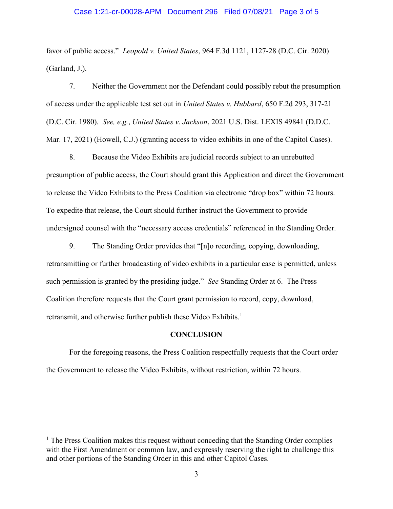#### Case 1:21-cr-00028-APM Document 296 Filed 07/08/21 Page 3 of 5

favor of public access." *Leopold v. United States*, 964 F.3d 1121, 1127-28 (D.C. Cir. 2020) (Garland, J.).

7. Neither the Government nor the Defendant could possibly rebut the presumption of access under the applicable test set out in United States v. Hubbard, 650 F.2d 293, 317-21 (D.C. Cir. 1980). See, e.g., United States v. Jackson, 2021 U.S. Dist. LEXIS 49841 (D.D.C. Mar. 17, 2021) (Howell, C.J.) (granting access to video exhibits in one of the Capitol Cases).

8. Because the Video Exhibits are judicial records subject to an unrebutted presumption of public access, the Court should grant this Application and direct the Government to release the Video Exhibits to the Press Coalition via electronic "drop box" within 72 hours. To expedite that release, the Court should further instruct the Government to provide undersigned counsel with the "necessary access credentials" referenced in the Standing Order.

9. The Standing Order provides that "[n]o recording, copying, downloading, retransmitting or further broadcasting of video exhibits in a particular case is permitted, unless such permission is granted by the presiding judge." See Standing Order at 6. The Press Coalition therefore requests that the Court grant permission to record, copy, download, retransmit, and otherwise further publish these Video Exhibits.<sup>1</sup>

#### **CONCLUSION**

For the foregoing reasons, the Press Coalition respectfully requests that the Court order the Government to release the Video Exhibits, without restriction, within 72 hours.

l

<sup>&</sup>lt;sup>1</sup> The Press Coalition makes this request without conceding that the Standing Order complies with the First Amendment or common law, and expressly reserving the right to challenge this and other portions of the Standing Order in this and other Capitol Cases.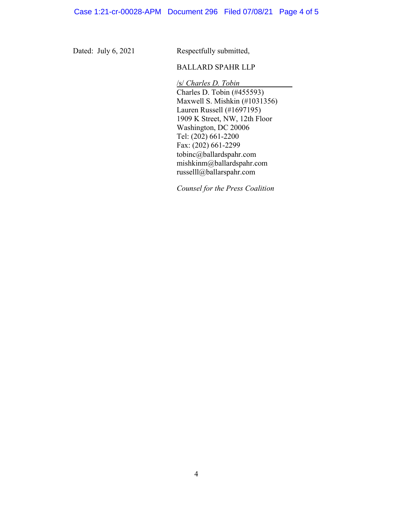Dated: July 6, 2021

Respectfully submitted,

### BALLARD SPAHR LLP

/s/ Charles D. Tobin Charles D. Tobin (#455593) Maxwell S. Mishkin (#1031356) Lauren Russell (#1697195) 1909 K Street, NW, 12th Floor Washington, DC 20006 Tel: (202) 661-2200 Fax: (202) 661-2299 tobinc@ballardspahr.com mishkinm@ballardspahr.com russelll@ballarspahr.com

Counsel for the Press Coalition